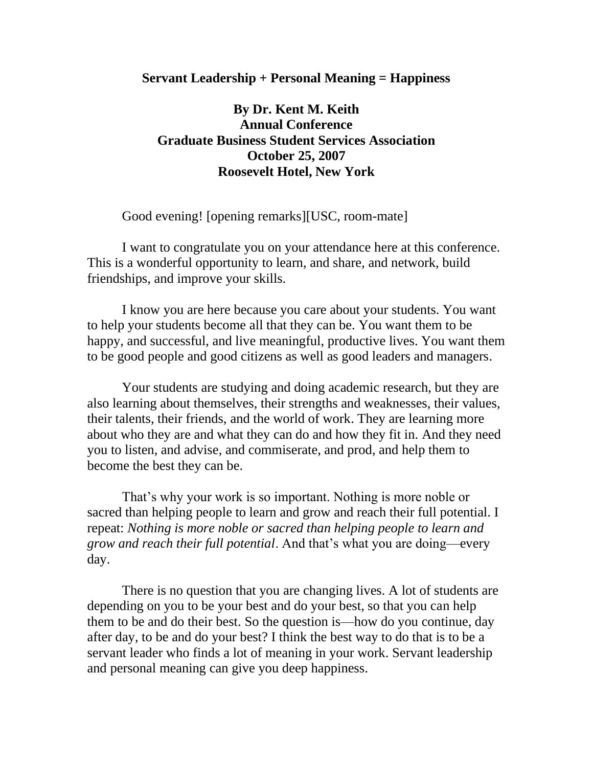## **Servant Leadership + Personal Meaning = Happiness**

**By Dr. Kent M. Keith Annual Conference Graduate Business Student Services Association October 25, 2007 Roosevelt Hotel, New York**

Good evening! [opening remarks][USC, room-mate]

I want to congratulate you on your attendance here at this conference. This is a wonderful opportunity to learn, and share, and network, build friendships, and improve your skills.

I know you are here because you care about your students. You want to help your students become all that they can be. You want them to be happy, and successful, and live meaningful, productive lives. You want them to be good people and good citizens as well as good leaders and managers.

Your students are studying and doing academic research, but they are also learning about themselves, their strengths and weaknesses, their values, their talents, their friends, and the world of work. They are learning more about who they are and what they can do and how they fit in. And they need you to listen, and advise, and commiserate, and prod, and help them to become the best they can be.

That's why your work is so important. Nothing is more noble or sacred than helping people to learn and grow and reach their full potential. I repeat: *Nothing is more noble or sacred than helping people to learn and grow and reach their full potential*. And that's what you are doing—every day.

There is no question that you are changing lives. A lot of students are depending on you to be your best and do your best, so that you can help them to be and do their best. So the question is—how do you continue, day after day, to be and do your best? I think the best way to do that is to be a servant leader who finds a lot of meaning in your work. Servant leadership and personal meaning can give you deep happiness.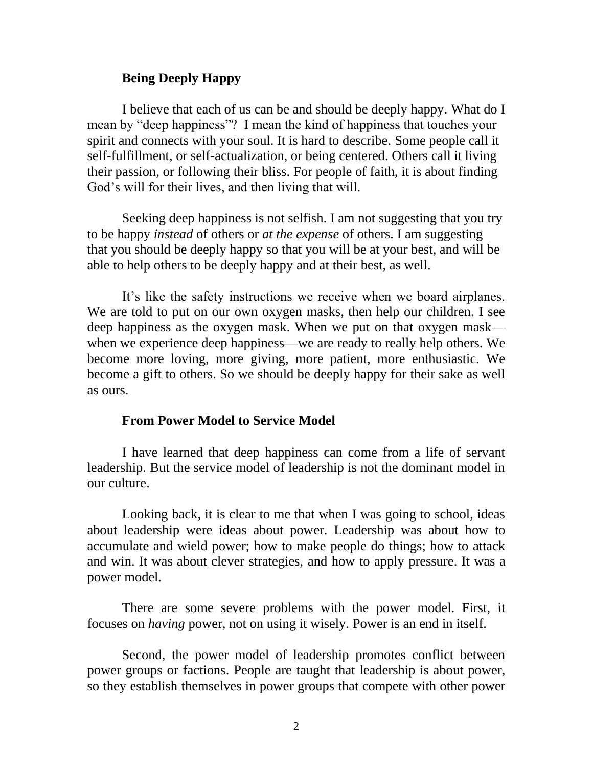## **Being Deeply Happy**

I believe that each of us can be and should be deeply happy. What do I mean by "deep happiness"? I mean the kind of happiness that touches your spirit and connects with your soul. It is hard to describe. Some people call it self-fulfillment, or self-actualization, or being centered. Others call it living their passion, or following their bliss. For people of faith, it is about finding God's will for their lives, and then living that will.

Seeking deep happiness is not selfish. I am not suggesting that you try to be happy *instead* of others or *at the expense* of others. I am suggesting that you should be deeply happy so that you will be at your best, and will be able to help others to be deeply happy and at their best, as well.

It's like the safety instructions we receive when we board airplanes. We are told to put on our own oxygen masks, then help our children. I see deep happiness as the oxygen mask. When we put on that oxygen mask when we experience deep happiness—we are ready to really help others. We become more loving, more giving, more patient, more enthusiastic. We become a gift to others. So we should be deeply happy for their sake as well as ours.

## **From Power Model to Service Model**

I have learned that deep happiness can come from a life of servant leadership. But the service model of leadership is not the dominant model in our culture.

Looking back, it is clear to me that when I was going to school, ideas about leadership were ideas about power. Leadership was about how to accumulate and wield power; how to make people do things; how to attack and win. It was about clever strategies, and how to apply pressure. It was a power model.

There are some severe problems with the power model. First, it focuses on *having* power, not on using it wisely. Power is an end in itself.

Second, the power model of leadership promotes conflict between power groups or factions. People are taught that leadership is about power, so they establish themselves in power groups that compete with other power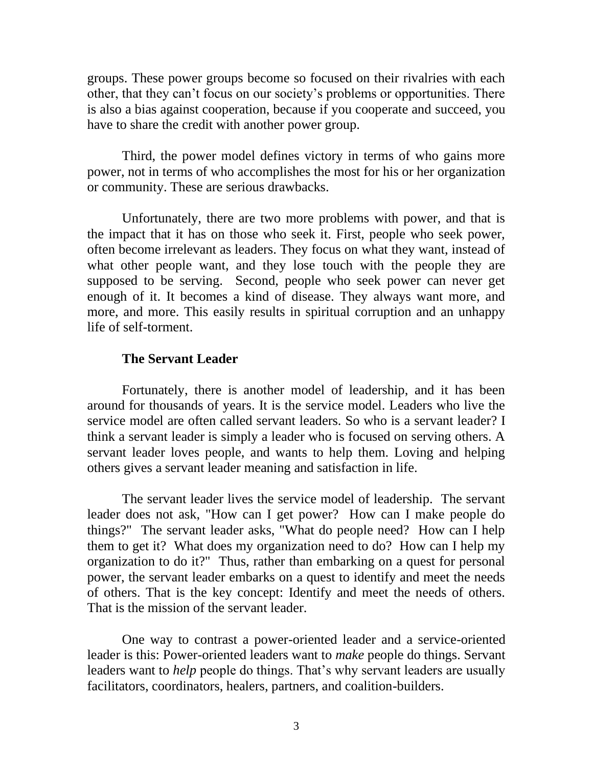groups. These power groups become so focused on their rivalries with each other, that they can't focus on our society's problems or opportunities. There is also a bias against cooperation, because if you cooperate and succeed, you have to share the credit with another power group.

Third, the power model defines victory in terms of who gains more power, not in terms of who accomplishes the most for his or her organization or community. These are serious drawbacks.

Unfortunately, there are two more problems with power, and that is the impact that it has on those who seek it. First, people who seek power, often become irrelevant as leaders. They focus on what they want, instead of what other people want, and they lose touch with the people they are supposed to be serving. Second, people who seek power can never get enough of it. It becomes a kind of disease. They always want more, and more, and more. This easily results in spiritual corruption and an unhappy life of self-torment.

# **The Servant Leader**

Fortunately, there is another model of leadership, and it has been around for thousands of years. It is the service model. Leaders who live the service model are often called servant leaders. So who is a servant leader? I think a servant leader is simply a leader who is focused on serving others. A servant leader loves people, and wants to help them. Loving and helping others gives a servant leader meaning and satisfaction in life.

The servant leader lives the service model of leadership. The servant leader does not ask, "How can I get power? How can I make people do things?" The servant leader asks, "What do people need? How can I help them to get it? What does my organization need to do? How can I help my organization to do it?" Thus, rather than embarking on a quest for personal power, the servant leader embarks on a quest to identify and meet the needs of others. That is the key concept: Identify and meet the needs of others. That is the mission of the servant leader.

One way to contrast a power-oriented leader and a service-oriented leader is this: Power-oriented leaders want to *make* people do things. Servant leaders want to *help* people do things. That's why servant leaders are usually facilitators, coordinators, healers, partners, and coalition-builders.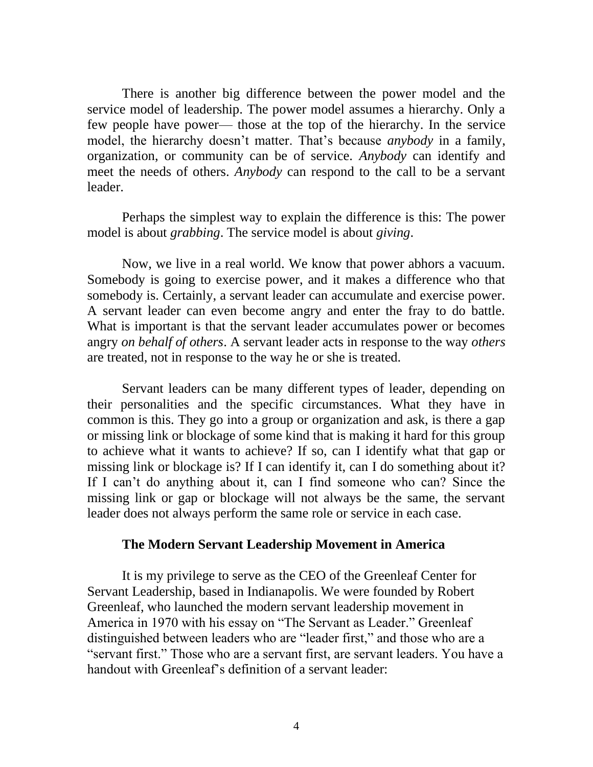There is another big difference between the power model and the service model of leadership. The power model assumes a hierarchy. Only a few people have power— those at the top of the hierarchy. In the service model, the hierarchy doesn't matter. That's because *anybody* in a family, organization, or community can be of service. *Anybody* can identify and meet the needs of others. *Anybody* can respond to the call to be a servant leader.

Perhaps the simplest way to explain the difference is this: The power model is about *grabbing*. The service model is about *giving*.

Now, we live in a real world. We know that power abhors a vacuum. Somebody is going to exercise power, and it makes a difference who that somebody is. Certainly, a servant leader can accumulate and exercise power. A servant leader can even become angry and enter the fray to do battle. What is important is that the servant leader accumulates power or becomes angry *on behalf of others*. A servant leader acts in response to the way *others* are treated, not in response to the way he or she is treated.

Servant leaders can be many different types of leader, depending on their personalities and the specific circumstances. What they have in common is this. They go into a group or organization and ask, is there a gap or missing link or blockage of some kind that is making it hard for this group to achieve what it wants to achieve? If so, can I identify what that gap or missing link or blockage is? If I can identify it, can I do something about it? If I can't do anything about it, can I find someone who can? Since the missing link or gap or blockage will not always be the same, the servant leader does not always perform the same role or service in each case.

# **The Modern Servant Leadership Movement in America**

It is my privilege to serve as the CEO of the Greenleaf Center for Servant Leadership, based in Indianapolis. We were founded by Robert Greenleaf, who launched the modern servant leadership movement in America in 1970 with his essay on "The Servant as Leader." Greenleaf distinguished between leaders who are "leader first," and those who are a "servant first." Those who are a servant first, are servant leaders. You have a handout with Greenleaf's definition of a servant leader: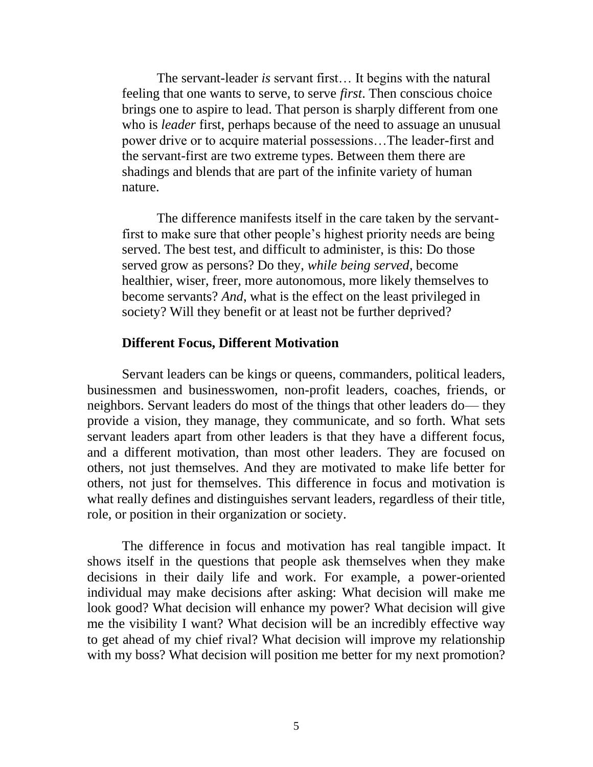The servant-leader *is* servant first… It begins with the natural feeling that one wants to serve, to serve *first*. Then conscious choice brings one to aspire to lead. That person is sharply different from one who is *leader* first, perhaps because of the need to assuage an unusual power drive or to acquire material possessions…The leader-first and the servant-first are two extreme types. Between them there are shadings and blends that are part of the infinite variety of human nature.

The difference manifests itself in the care taken by the servantfirst to make sure that other people's highest priority needs are being served. The best test, and difficult to administer, is this: Do those served grow as persons? Do they, *while being served*, become healthier, wiser, freer, more autonomous, more likely themselves to become servants? *And*, what is the effect on the least privileged in society? Will they benefit or at least not be further deprived?

# **Different Focus, Different Motivation**

Servant leaders can be kings or queens, commanders, political leaders, businessmen and businesswomen, non-profit leaders, coaches, friends, or neighbors. Servant leaders do most of the things that other leaders do— they provide a vision, they manage, they communicate, and so forth. What sets servant leaders apart from other leaders is that they have a different focus, and a different motivation, than most other leaders. They are focused on others, not just themselves. And they are motivated to make life better for others, not just for themselves. This difference in focus and motivation is what really defines and distinguishes servant leaders, regardless of their title, role, or position in their organization or society.

The difference in focus and motivation has real tangible impact. It shows itself in the questions that people ask themselves when they make decisions in their daily life and work. For example, a power-oriented individual may make decisions after asking: What decision will make me look good? What decision will enhance my power? What decision will give me the visibility I want? What decision will be an incredibly effective way to get ahead of my chief rival? What decision will improve my relationship with my boss? What decision will position me better for my next promotion?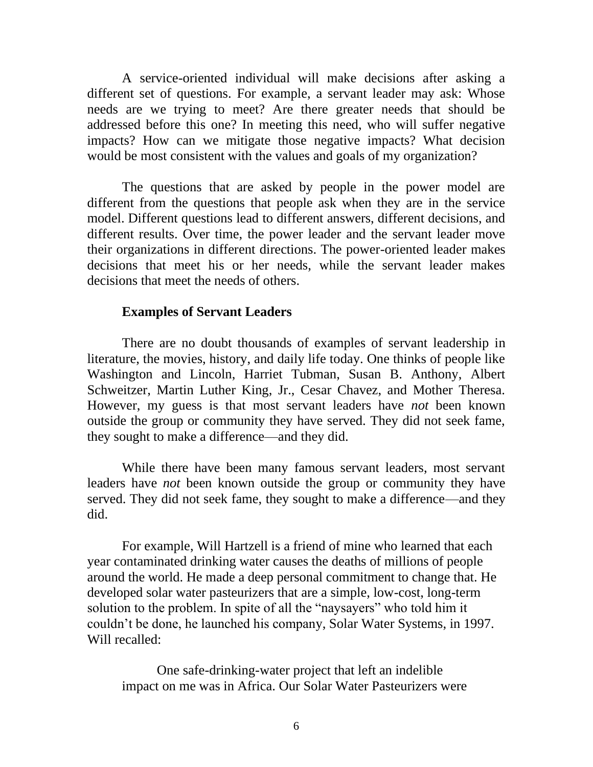A service-oriented individual will make decisions after asking a different set of questions. For example, a servant leader may ask: Whose needs are we trying to meet? Are there greater needs that should be addressed before this one? In meeting this need, who will suffer negative impacts? How can we mitigate those negative impacts? What decision would be most consistent with the values and goals of my organization?

The questions that are asked by people in the power model are different from the questions that people ask when they are in the service model. Different questions lead to different answers, different decisions, and different results. Over time, the power leader and the servant leader move their organizations in different directions. The power-oriented leader makes decisions that meet his or her needs, while the servant leader makes decisions that meet the needs of others.

# **Examples of Servant Leaders**

There are no doubt thousands of examples of servant leadership in literature, the movies, history, and daily life today. One thinks of people like Washington and Lincoln, Harriet Tubman, Susan B. Anthony, Albert Schweitzer, Martin Luther King, Jr., Cesar Chavez, and Mother Theresa. However, my guess is that most servant leaders have *not* been known outside the group or community they have served. They did not seek fame, they sought to make a difference—and they did.

While there have been many famous servant leaders, most servant leaders have *not* been known outside the group or community they have served. They did not seek fame, they sought to make a difference—and they did.

For example, Will Hartzell is a friend of mine who learned that each year contaminated drinking water causes the deaths of millions of people around the world. He made a deep personal commitment to change that. He developed solar water pasteurizers that are a simple, low-cost, long-term solution to the problem. In spite of all the "naysayers" who told him it couldn't be done, he launched his company, Solar Water Systems, in 1997. Will recalled:

One safe-drinking-water project that left an indelible impact on me was in Africa. Our Solar Water Pasteurizers were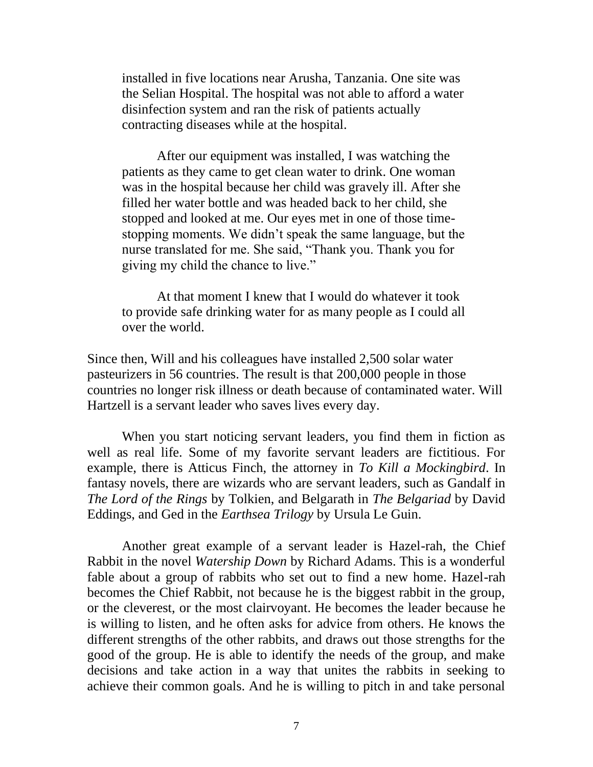installed in five locations near Arusha, Tanzania. One site was the Selian Hospital. The hospital was not able to afford a water disinfection system and ran the risk of patients actually contracting diseases while at the hospital.

After our equipment was installed, I was watching the patients as they came to get clean water to drink. One woman was in the hospital because her child was gravely ill. After she filled her water bottle and was headed back to her child, she stopped and looked at me. Our eyes met in one of those timestopping moments. We didn't speak the same language, but the nurse translated for me. She said, "Thank you. Thank you for giving my child the chance to live."

At that moment I knew that I would do whatever it took to provide safe drinking water for as many people as I could all over the world.

Since then, Will and his colleagues have installed 2,500 solar water pasteurizers in 56 countries. The result is that 200,000 people in those countries no longer risk illness or death because of contaminated water. Will Hartzell is a servant leader who saves lives every day.

When you start noticing servant leaders, you find them in fiction as well as real life. Some of my favorite servant leaders are fictitious. For example, there is Atticus Finch, the attorney in *To Kill a Mockingbird*. In fantasy novels, there are wizards who are servant leaders, such as Gandalf in *The Lord of the Rings* by Tolkien, and Belgarath in *The Belgariad* by David Eddings, and Ged in the *Earthsea Trilogy* by Ursula Le Guin.

Another great example of a servant leader is Hazel-rah, the Chief Rabbit in the novel *Watership Down* by Richard Adams. This is a wonderful fable about a group of rabbits who set out to find a new home. Hazel-rah becomes the Chief Rabbit, not because he is the biggest rabbit in the group, or the cleverest, or the most clairvoyant. He becomes the leader because he is willing to listen, and he often asks for advice from others. He knows the different strengths of the other rabbits, and draws out those strengths for the good of the group. He is able to identify the needs of the group, and make decisions and take action in a way that unites the rabbits in seeking to achieve their common goals. And he is willing to pitch in and take personal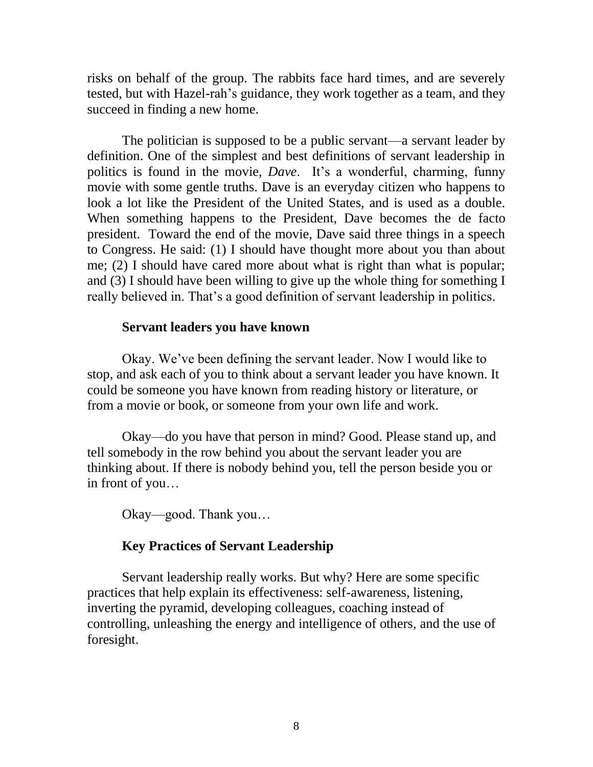risks on behalf of the group. The rabbits face hard times, and are severely tested, but with Hazel-rah's guidance, they work together as a team, and they succeed in finding a new home.

The politician is supposed to be a public servant—a servant leader by definition. One of the simplest and best definitions of servant leadership in politics is found in the movie, *Dave*. It's a wonderful, charming, funny movie with some gentle truths. Dave is an everyday citizen who happens to look a lot like the President of the United States, and is used as a double. When something happens to the President, Dave becomes the de facto president. Toward the end of the movie, Dave said three things in a speech to Congress. He said: (1) I should have thought more about you than about me; (2) I should have cared more about what is right than what is popular; and (3) I should have been willing to give up the whole thing for something I really believed in. That's a good definition of servant leadership in politics.

#### **Servant leaders you have known**

Okay. We've been defining the servant leader. Now I would like to stop, and ask each of you to think about a servant leader you have known. It could be someone you have known from reading history or literature, or from a movie or book, or someone from your own life and work.

Okay—do you have that person in mind? Good. Please stand up, and tell somebody in the row behind you about the servant leader you are thinking about. If there is nobody behind you, tell the person beside you or in front of you…

Okay—good. Thank you…

# **Key Practices of Servant Leadership**

Servant leadership really works. But why? Here are some specific practices that help explain its effectiveness: self-awareness, listening, inverting the pyramid, developing colleagues, coaching instead of controlling, unleashing the energy and intelligence of others, and the use of foresight.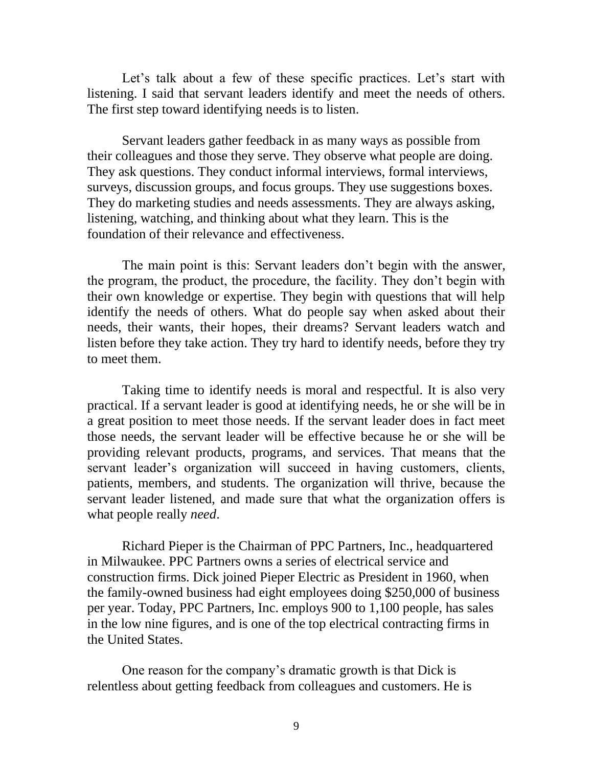Let's talk about a few of these specific practices. Let's start with listening. I said that servant leaders identify and meet the needs of others. The first step toward identifying needs is to listen.

Servant leaders gather feedback in as many ways as possible from their colleagues and those they serve. They observe what people are doing. They ask questions. They conduct informal interviews, formal interviews, surveys, discussion groups, and focus groups. They use suggestions boxes. They do marketing studies and needs assessments. They are always asking, listening, watching, and thinking about what they learn. This is the foundation of their relevance and effectiveness.

The main point is this: Servant leaders don't begin with the answer, the program, the product, the procedure, the facility. They don't begin with their own knowledge or expertise. They begin with questions that will help identify the needs of others. What do people say when asked about their needs, their wants, their hopes, their dreams? Servant leaders watch and listen before they take action. They try hard to identify needs, before they try to meet them.

Taking time to identify needs is moral and respectful. It is also very practical. If a servant leader is good at identifying needs, he or she will be in a great position to meet those needs. If the servant leader does in fact meet those needs, the servant leader will be effective because he or she will be providing relevant products, programs, and services. That means that the servant leader's organization will succeed in having customers, clients, patients, members, and students. The organization will thrive, because the servant leader listened, and made sure that what the organization offers is what people really *need*.

Richard Pieper is the Chairman of PPC Partners, Inc., headquartered in Milwaukee. PPC Partners owns a series of electrical service and construction firms. Dick joined Pieper Electric as President in 1960, when the family-owned business had eight employees doing \$250,000 of business per year. Today, PPC Partners, Inc. employs 900 to 1,100 people, has sales in the low nine figures, and is one of the top electrical contracting firms in the United States.

One reason for the company's dramatic growth is that Dick is relentless about getting feedback from colleagues and customers. He is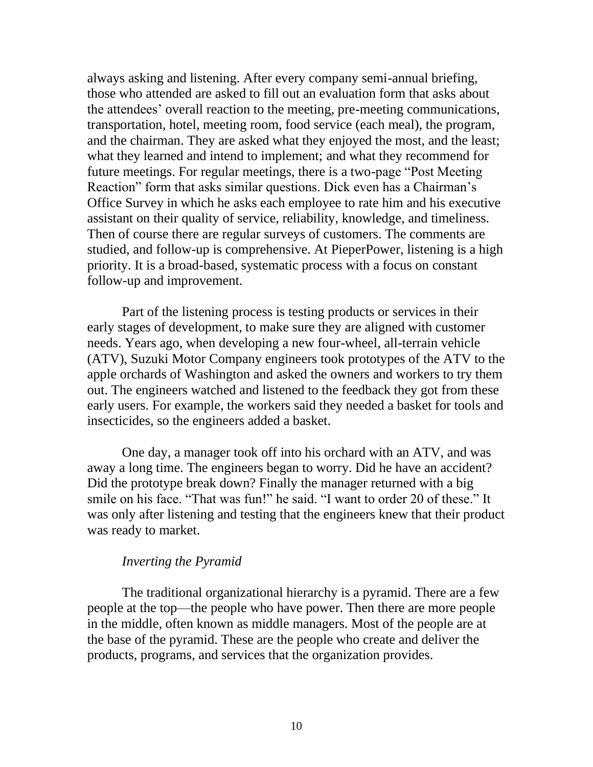always asking and listening. After every company semi-annual briefing, those who attended are asked to fill out an evaluation form that asks about the attendees' overall reaction to the meeting, pre-meeting communications, transportation, hotel, meeting room, food service (each meal), the program, and the chairman. They are asked what they enjoyed the most, and the least; what they learned and intend to implement; and what they recommend for future meetings. For regular meetings, there is a two-page "Post Meeting Reaction" form that asks similar questions. Dick even has a Chairman's Office Survey in which he asks each employee to rate him and his executive assistant on their quality of service, reliability, knowledge, and timeliness. Then of course there are regular surveys of customers. The comments are studied, and follow-up is comprehensive. At PieperPower, listening is a high priority. It is a broad-based, systematic process with a focus on constant follow-up and improvement.

Part of the listening process is testing products or services in their early stages of development, to make sure they are aligned with customer needs. Years ago, when developing a new four-wheel, all-terrain vehicle (ATV), Suzuki Motor Company engineers took prototypes of the ATV to the apple orchards of Washington and asked the owners and workers to try them out. The engineers watched and listened to the feedback they got from these early users. For example, the workers said they needed a basket for tools and insecticides, so the engineers added a basket.

One day, a manager took off into his orchard with an ATV, and was away a long time. The engineers began to worry. Did he have an accident? Did the prototype break down? Finally the manager returned with a big smile on his face. "That was fun!" he said. "I want to order 20 of these." It was only after listening and testing that the engineers knew that their product was ready to market.

#### *Inverting the Pyramid*

The traditional organizational hierarchy is a pyramid. There are a few people at the top—the people who have power. Then there are more people in the middle, often known as middle managers. Most of the people are at the base of the pyramid. These are the people who create and deliver the products, programs, and services that the organization provides.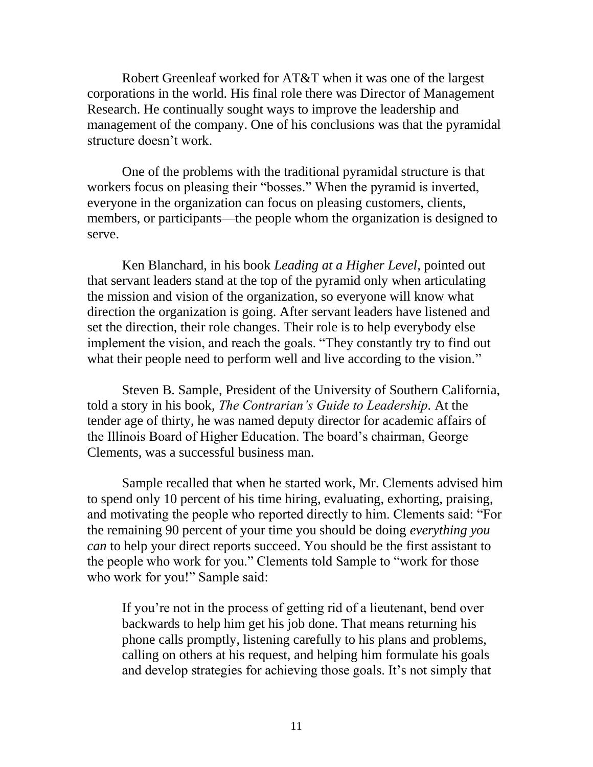Robert Greenleaf worked for AT&T when it was one of the largest corporations in the world. His final role there was Director of Management Research. He continually sought ways to improve the leadership and management of the company. One of his conclusions was that the pyramidal structure doesn't work.

One of the problems with the traditional pyramidal structure is that workers focus on pleasing their "bosses." When the pyramid is inverted, everyone in the organization can focus on pleasing customers, clients, members, or participants—the people whom the organization is designed to serve.

Ken Blanchard, in his book *Leading at a Higher Level*, pointed out that servant leaders stand at the top of the pyramid only when articulating the mission and vision of the organization, so everyone will know what direction the organization is going. After servant leaders have listened and set the direction, their role changes. Their role is to help everybody else implement the vision, and reach the goals. "They constantly try to find out what their people need to perform well and live according to the vision."

Steven B. Sample, President of the University of Southern California, told a story in his book, *The Contrarian's Guide to Leadership.* At the tender age of thirty, he was named deputy director for academic affairs of the Illinois Board of Higher Education. The board's chairman, George Clements, was a successful business man.

Sample recalled that when he started work, Mr. Clements advised him to spend only 10 percent of his time hiring, evaluating, exhorting, praising, and motivating the people who reported directly to him. Clements said: "For the remaining 90 percent of your time you should be doing *everything you can* to help your direct reports succeed. You should be the first assistant to the people who work for you." Clements told Sample to "work for those who work for you!" Sample said:

If you're not in the process of getting rid of a lieutenant, bend over backwards to help him get his job done. That means returning his phone calls promptly, listening carefully to his plans and problems, calling on others at his request, and helping him formulate his goals and develop strategies for achieving those goals. It's not simply that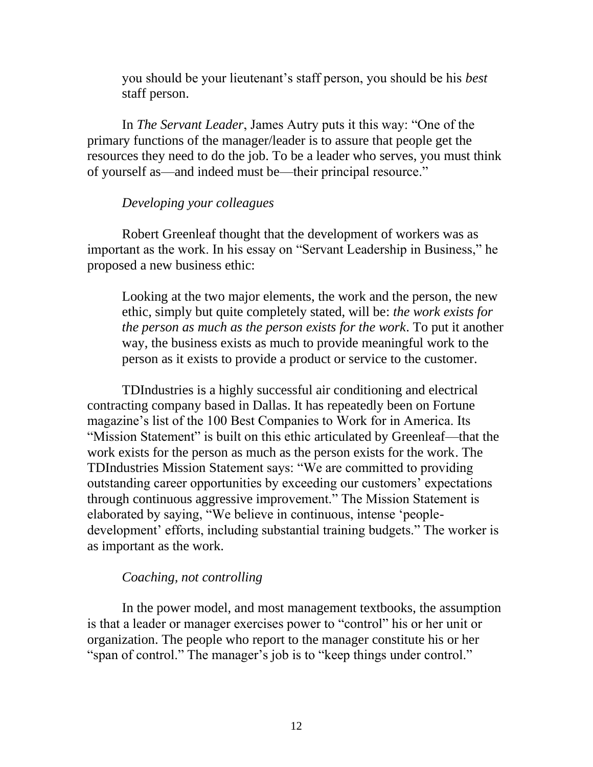you should be your lieutenant's staff person, you should be his *best*  staff person.

In *The Servant Leader*, James Autry puts it this way: "One of the primary functions of the manager/leader is to assure that people get the resources they need to do the job. To be a leader who serves, you must think of yourself as—and indeed must be—their principal resource."

## *Developing your colleagues*

Robert Greenleaf thought that the development of workers was as important as the work. In his essay on "Servant Leadership in Business," he proposed a new business ethic:

Looking at the two major elements, the work and the person, the new ethic, simply but quite completely stated, will be: *the work exists for the person as much as the person exists for the work*. To put it another way, the business exists as much to provide meaningful work to the person as it exists to provide a product or service to the customer.

TDIndustries is a highly successful air conditioning and electrical contracting company based in Dallas. It has repeatedly been on Fortune magazine's list of the 100 Best Companies to Work for in America. Its "Mission Statement" is built on this ethic articulated by Greenleaf—that the work exists for the person as much as the person exists for the work. The TDIndustries Mission Statement says: "We are committed to providing outstanding career opportunities by exceeding our customers' expectations through continuous aggressive improvement." The Mission Statement is elaborated by saying, "We believe in continuous, intense 'peopledevelopment' efforts, including substantial training budgets." The worker is as important as the work.

#### *Coaching, not controlling*

In the power model, and most management textbooks, the assumption is that a leader or manager exercises power to "control" his or her unit or organization. The people who report to the manager constitute his or her "span of control." The manager's job is to "keep things under control."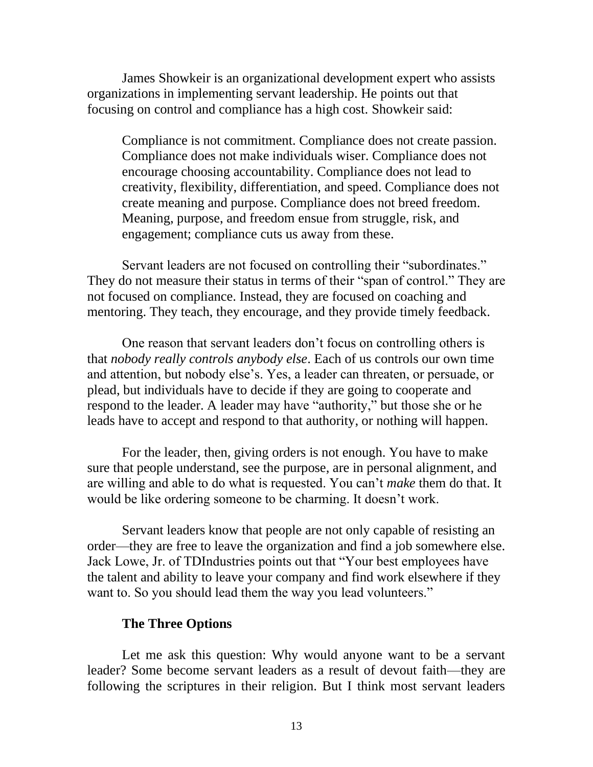James Showkeir is an organizational development expert who assists organizations in implementing servant leadership. He points out that focusing on control and compliance has a high cost. Showkeir said:

Compliance is not commitment. Compliance does not create passion. Compliance does not make individuals wiser. Compliance does not encourage choosing accountability. Compliance does not lead to creativity, flexibility, differentiation, and speed. Compliance does not create meaning and purpose. Compliance does not breed freedom. Meaning, purpose, and freedom ensue from struggle, risk, and engagement; compliance cuts us away from these.

Servant leaders are not focused on controlling their "subordinates." They do not measure their status in terms of their "span of control." They are not focused on compliance. Instead, they are focused on coaching and mentoring. They teach, they encourage, and they provide timely feedback.

One reason that servant leaders don't focus on controlling others is that *nobody really controls anybody else*. Each of us controls our own time and attention, but nobody else's. Yes, a leader can threaten, or persuade, or plead, but individuals have to decide if they are going to cooperate and respond to the leader. A leader may have "authority," but those she or he leads have to accept and respond to that authority, or nothing will happen.

For the leader, then, giving orders is not enough. You have to make sure that people understand, see the purpose, are in personal alignment, and are willing and able to do what is requested. You can't *make* them do that. It would be like ordering someone to be charming. It doesn't work.

Servant leaders know that people are not only capable of resisting an order—they are free to leave the organization and find a job somewhere else. Jack Lowe, Jr. of TDIndustries points out that "Your best employees have the talent and ability to leave your company and find work elsewhere if they want to. So you should lead them the way you lead volunteers."

# **The Three Options**

Let me ask this question: Why would anyone want to be a servant leader? Some become servant leaders as a result of devout faith—they are following the scriptures in their religion. But I think most servant leaders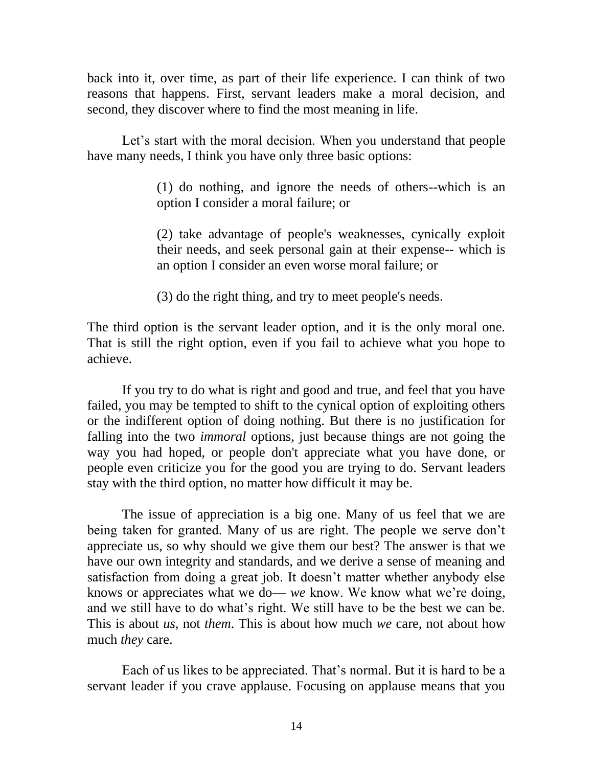back into it, over time, as part of their life experience. I can think of two reasons that happens. First, servant leaders make a moral decision, and second, they discover where to find the most meaning in life.

Let's start with the moral decision. When you understand that people have many needs, I think you have only three basic options:

> (1) do nothing, and ignore the needs of others--which is an option I consider a moral failure; or

> (2) take advantage of people's weaknesses, cynically exploit their needs, and seek personal gain at their expense-- which is an option I consider an even worse moral failure; or

(3) do the right thing, and try to meet people's needs.

The third option is the servant leader option, and it is the only moral one. That is still the right option, even if you fail to achieve what you hope to achieve.

If you try to do what is right and good and true, and feel that you have failed, you may be tempted to shift to the cynical option of exploiting others or the indifferent option of doing nothing. But there is no justification for falling into the two *immoral* options, just because things are not going the way you had hoped, or people don't appreciate what you have done, or people even criticize you for the good you are trying to do. Servant leaders stay with the third option, no matter how difficult it may be.

The issue of appreciation is a big one. Many of us feel that we are being taken for granted. Many of us are right. The people we serve don't appreciate us, so why should we give them our best? The answer is that we have our own integrity and standards, and we derive a sense of meaning and satisfaction from doing a great job. It doesn't matter whether anybody else knows or appreciates what we do— *we* know. We know what we're doing, and we still have to do what's right. We still have to be the best we can be. This is about *us*, not *them*. This is about how much *we* care, not about how much *they* care.

Each of us likes to be appreciated. That's normal. But it is hard to be a servant leader if you crave applause. Focusing on applause means that you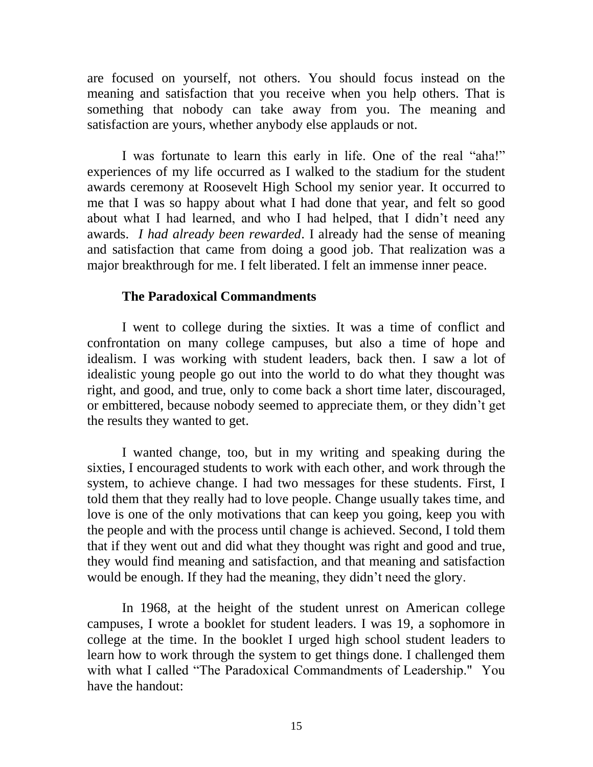are focused on yourself, not others. You should focus instead on the meaning and satisfaction that you receive when you help others. That is something that nobody can take away from you. The meaning and satisfaction are yours, whether anybody else applauds or not.

I was fortunate to learn this early in life. One of the real "aha!" experiences of my life occurred as I walked to the stadium for the student awards ceremony at Roosevelt High School my senior year. It occurred to me that I was so happy about what I had done that year, and felt so good about what I had learned, and who I had helped, that I didn't need any awards. *I had already been rewarded*. I already had the sense of meaning and satisfaction that came from doing a good job. That realization was a major breakthrough for me. I felt liberated. I felt an immense inner peace.

## **The Paradoxical Commandments**

I went to college during the sixties. It was a time of conflict and confrontation on many college campuses, but also a time of hope and idealism. I was working with student leaders, back then. I saw a lot of idealistic young people go out into the world to do what they thought was right, and good, and true, only to come back a short time later, discouraged, or embittered, because nobody seemed to appreciate them, or they didn't get the results they wanted to get.

I wanted change, too, but in my writing and speaking during the sixties, I encouraged students to work with each other, and work through the system, to achieve change. I had two messages for these students. First, I told them that they really had to love people. Change usually takes time, and love is one of the only motivations that can keep you going, keep you with the people and with the process until change is achieved. Second, I told them that if they went out and did what they thought was right and good and true, they would find meaning and satisfaction, and that meaning and satisfaction would be enough. If they had the meaning, they didn't need the glory.

In 1968, at the height of the student unrest on American college campuses, I wrote a booklet for student leaders. I was 19, a sophomore in college at the time. In the booklet I urged high school student leaders to learn how to work through the system to get things done. I challenged them with what I called "The Paradoxical Commandments of Leadership." You have the handout: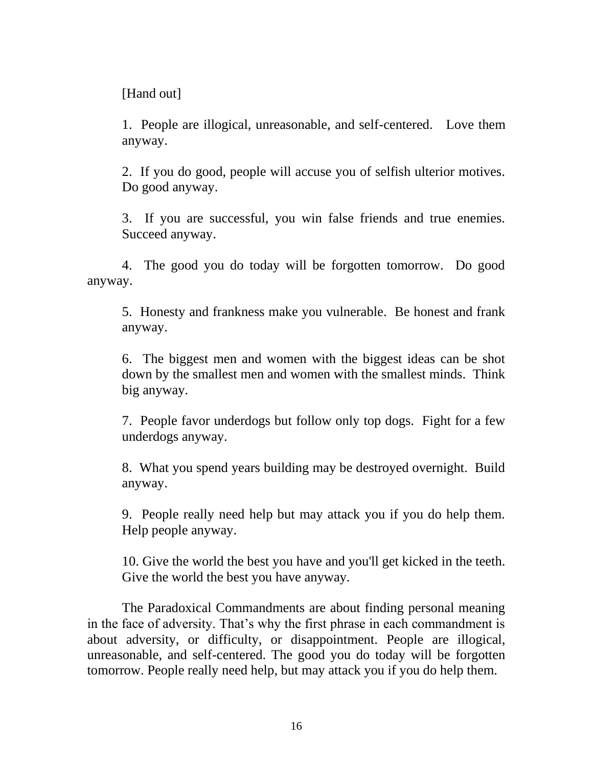[Hand out]

1. People are illogical, unreasonable, and self-centered. Love them anyway.

2. If you do good, people will accuse you of selfish ulterior motives. Do good anyway.

3. If you are successful, you win false friends and true enemies. Succeed anyway.

4. The good you do today will be forgotten tomorrow. Do good anyway.

5. Honesty and frankness make you vulnerable. Be honest and frank anyway.

6. The biggest men and women with the biggest ideas can be shot down by the smallest men and women with the smallest minds. Think big anyway.

7. People favor underdogs but follow only top dogs. Fight for a few underdogs anyway.

8. What you spend years building may be destroyed overnight. Build anyway.

9. People really need help but may attack you if you do help them. Help people anyway.

10. Give the world the best you have and you'll get kicked in the teeth. Give the world the best you have anyway.

The Paradoxical Commandments are about finding personal meaning in the face of adversity. That's why the first phrase in each commandment is about adversity, or difficulty, or disappointment. People are illogical, unreasonable, and self-centered. The good you do today will be forgotten tomorrow. People really need help, but may attack you if you do help them.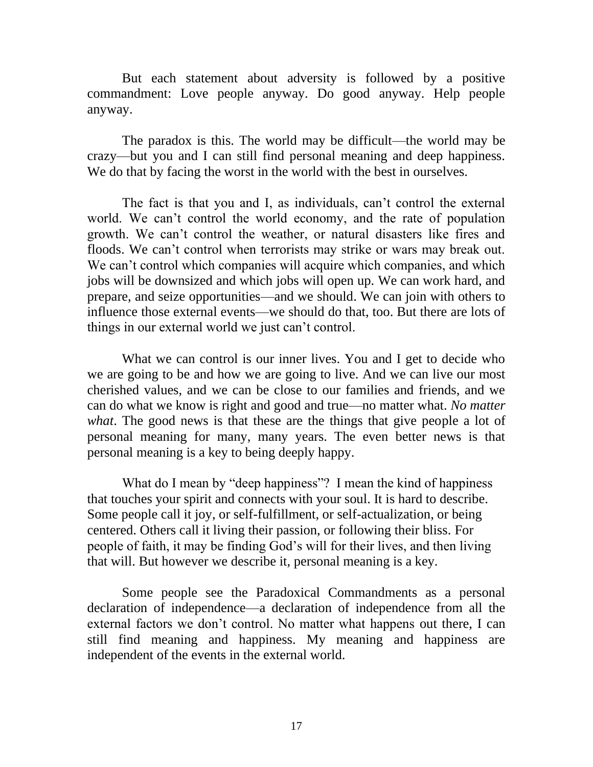But each statement about adversity is followed by a positive commandment: Love people anyway. Do good anyway. Help people anyway.

The paradox is this. The world may be difficult—the world may be crazy—but you and I can still find personal meaning and deep happiness. We do that by facing the worst in the world with the best in ourselves.

The fact is that you and I, as individuals, can't control the external world. We can't control the world economy, and the rate of population growth. We can't control the weather, or natural disasters like fires and floods. We can't control when terrorists may strike or wars may break out. We can't control which companies will acquire which companies, and which jobs will be downsized and which jobs will open up. We can work hard, and prepare, and seize opportunities—and we should. We can join with others to influence those external events—we should do that, too. But there are lots of things in our external world we just can't control.

What we can control is our inner lives. You and I get to decide who we are going to be and how we are going to live. And we can live our most cherished values, and we can be close to our families and friends, and we can do what we know is right and good and true—no matter what. *No matter what*. The good news is that these are the things that give people a lot of personal meaning for many, many years. The even better news is that personal meaning is a key to being deeply happy.

What do I mean by "deep happiness"? I mean the kind of happiness that touches your spirit and connects with your soul. It is hard to describe. Some people call it joy, or self-fulfillment, or self-actualization, or being centered. Others call it living their passion, or following their bliss. For people of faith, it may be finding God's will for their lives, and then living that will. But however we describe it, personal meaning is a key.

Some people see the Paradoxical Commandments as a personal declaration of independence—a declaration of independence from all the external factors we don't control. No matter what happens out there, I can still find meaning and happiness. My meaning and happiness are independent of the events in the external world.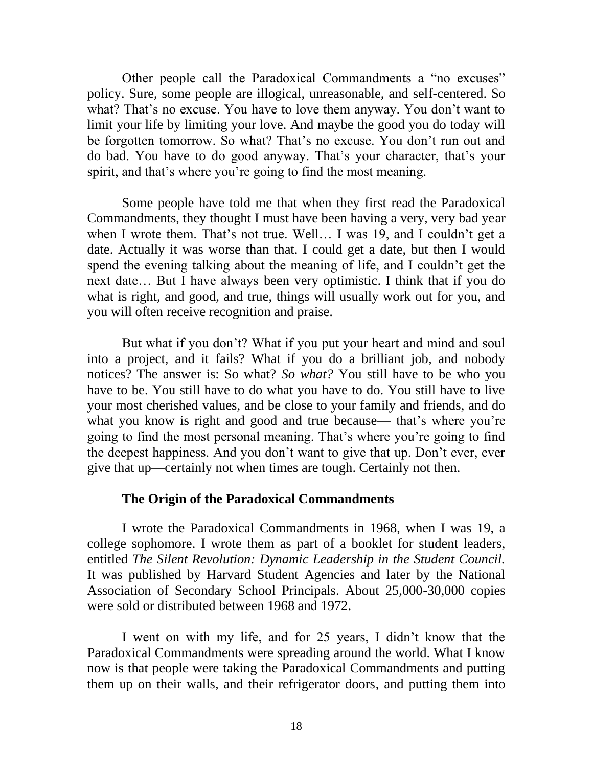Other people call the Paradoxical Commandments a "no excuses" policy. Sure, some people are illogical, unreasonable, and self-centered. So what? That's no excuse. You have to love them anyway. You don't want to limit your life by limiting your love. And maybe the good you do today will be forgotten tomorrow. So what? That's no excuse. You don't run out and do bad. You have to do good anyway. That's your character, that's your spirit, and that's where you're going to find the most meaning.

Some people have told me that when they first read the Paradoxical Commandments, they thought I must have been having a very, very bad year when I wrote them. That's not true. Well… I was 19, and I couldn't get a date. Actually it was worse than that. I could get a date, but then I would spend the evening talking about the meaning of life, and I couldn't get the next date… But I have always been very optimistic. I think that if you do what is right, and good, and true, things will usually work out for you, and you will often receive recognition and praise.

But what if you don't? What if you put your heart and mind and soul into a project, and it fails? What if you do a brilliant job, and nobody notices? The answer is: So what? *So what?* You still have to be who you have to be. You still have to do what you have to do. You still have to live your most cherished values, and be close to your family and friends, and do what you know is right and good and true because— that's where you're going to find the most personal meaning. That's where you're going to find the deepest happiness. And you don't want to give that up. Don't ever, ever give that up—certainly not when times are tough. Certainly not then.

#### **The Origin of the Paradoxical Commandments**

I wrote the Paradoxical Commandments in 1968, when I was 19, a college sophomore. I wrote them as part of a booklet for student leaders, entitled *The Silent Revolution: Dynamic Leadership in the Student Council.* It was published by Harvard Student Agencies and later by the National Association of Secondary School Principals. About 25,000-30,000 copies were sold or distributed between 1968 and 1972.

I went on with my life, and for 25 years, I didn't know that the Paradoxical Commandments were spreading around the world. What I know now is that people were taking the Paradoxical Commandments and putting them up on their walls, and their refrigerator doors, and putting them into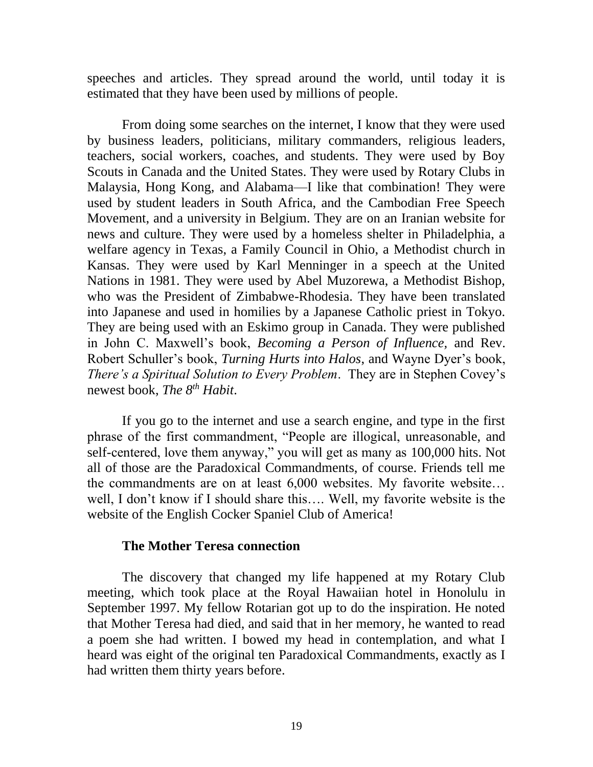speeches and articles. They spread around the world, until today it is estimated that they have been used by millions of people.

From doing some searches on the internet, I know that they were used by business leaders, politicians, military commanders, religious leaders, teachers, social workers, coaches, and students. They were used by Boy Scouts in Canada and the United States. They were used by Rotary Clubs in Malaysia, Hong Kong, and Alabama—I like that combination! They were used by student leaders in South Africa, and the Cambodian Free Speech Movement, and a university in Belgium. They are on an Iranian website for news and culture. They were used by a homeless shelter in Philadelphia, a welfare agency in Texas, a Family Council in Ohio, a Methodist church in Kansas. They were used by Karl Menninger in a speech at the United Nations in 1981. They were used by Abel Muzorewa, a Methodist Bishop, who was the President of Zimbabwe-Rhodesia. They have been translated into Japanese and used in homilies by a Japanese Catholic priest in Tokyo. They are being used with an Eskimo group in Canada. They were published in John C. Maxwell's book, *Becoming a Person of Influence,* and Rev. Robert Schuller's book, *Turning Hurts into Halos*, and Wayne Dyer's book, *There's a Spiritual Solution to Every Problem*. They are in Stephen Covey's newest book, *The 8th Habit*.

If you go to the internet and use a search engine, and type in the first phrase of the first commandment, "People are illogical, unreasonable, and self-centered, love them anyway," you will get as many as 100,000 hits. Not all of those are the Paradoxical Commandments, of course. Friends tell me the commandments are on at least 6,000 websites. My favorite website… well, I don't know if I should share this…. Well, my favorite website is the website of the English Cocker Spaniel Club of America!

#### **The Mother Teresa connection**

The discovery that changed my life happened at my Rotary Club meeting, which took place at the Royal Hawaiian hotel in Honolulu in September 1997. My fellow Rotarian got up to do the inspiration. He noted that Mother Teresa had died, and said that in her memory, he wanted to read a poem she had written. I bowed my head in contemplation, and what I heard was eight of the original ten Paradoxical Commandments, exactly as I had written them thirty years before.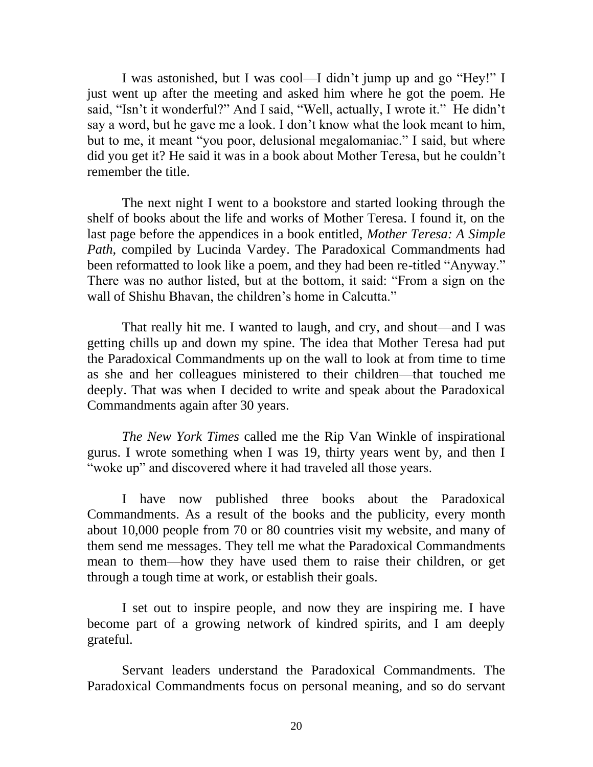I was astonished, but I was cool—I didn't jump up and go "Hey!" I just went up after the meeting and asked him where he got the poem. He said, "Isn't it wonderful?" And I said, "Well, actually, I wrote it." He didn't say a word, but he gave me a look. I don't know what the look meant to him, but to me, it meant "you poor, delusional megalomaniac." I said, but where did you get it? He said it was in a book about Mother Teresa, but he couldn't remember the title.

The next night I went to a bookstore and started looking through the shelf of books about the life and works of Mother Teresa. I found it, on the last page before the appendices in a book entitled, *Mother Teresa: A Simple Path*, compiled by Lucinda Vardey. The Paradoxical Commandments had been reformatted to look like a poem, and they had been re-titled "Anyway." There was no author listed, but at the bottom, it said: "From a sign on the wall of Shishu Bhavan, the children's home in Calcutta."

That really hit me. I wanted to laugh, and cry, and shout—and I was getting chills up and down my spine. The idea that Mother Teresa had put the Paradoxical Commandments up on the wall to look at from time to time as she and her colleagues ministered to their children—that touched me deeply. That was when I decided to write and speak about the Paradoxical Commandments again after 30 years.

*The New York Times* called me the Rip Van Winkle of inspirational gurus. I wrote something when I was 19, thirty years went by, and then I "woke up" and discovered where it had traveled all those years.

I have now published three books about the Paradoxical Commandments. As a result of the books and the publicity, every month about 10,000 people from 70 or 80 countries visit my website, and many of them send me messages. They tell me what the Paradoxical Commandments mean to them—how they have used them to raise their children, or get through a tough time at work, or establish their goals.

I set out to inspire people, and now they are inspiring me. I have become part of a growing network of kindred spirits, and I am deeply grateful.

Servant leaders understand the Paradoxical Commandments. The Paradoxical Commandments focus on personal meaning, and so do servant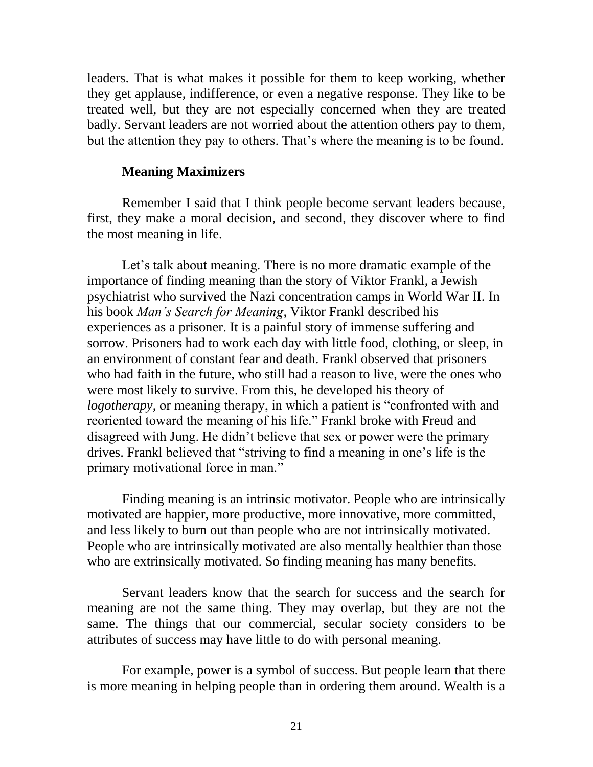leaders. That is what makes it possible for them to keep working, whether they get applause, indifference, or even a negative response. They like to be treated well, but they are not especially concerned when they are treated badly. Servant leaders are not worried about the attention others pay to them, but the attention they pay to others. That's where the meaning is to be found.

# **Meaning Maximizers**

Remember I said that I think people become servant leaders because, first, they make a moral decision, and second, they discover where to find the most meaning in life.

Let's talk about meaning. There is no more dramatic example of the importance of finding meaning than the story of Viktor Frankl, a Jewish psychiatrist who survived the Nazi concentration camps in World War II. In his book *Man's Search for Meaning*, Viktor Frankl described his experiences as a prisoner. It is a painful story of immense suffering and sorrow. Prisoners had to work each day with little food, clothing, or sleep, in an environment of constant fear and death. Frankl observed that prisoners who had faith in the future, who still had a reason to live, were the ones who were most likely to survive. From this, he developed his theory of *logotherapy*, or meaning therapy, in which a patient is "confronted with and reoriented toward the meaning of his life." Frankl broke with Freud and disagreed with Jung. He didn't believe that sex or power were the primary drives. Frankl believed that "striving to find a meaning in one's life is the primary motivational force in man."

Finding meaning is an intrinsic motivator. People who are intrinsically motivated are happier, more productive, more innovative, more committed, and less likely to burn out than people who are not intrinsically motivated. People who are intrinsically motivated are also mentally healthier than those who are extrinsically motivated. So finding meaning has many benefits.

Servant leaders know that the search for success and the search for meaning are not the same thing. They may overlap, but they are not the same. The things that our commercial, secular society considers to be attributes of success may have little to do with personal meaning.

For example, power is a symbol of success. But people learn that there is more meaning in helping people than in ordering them around. Wealth is a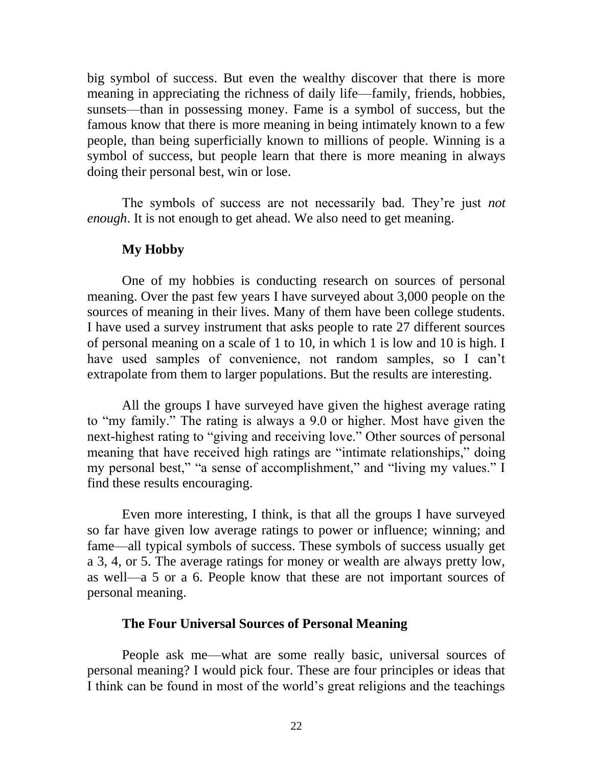big symbol of success. But even the wealthy discover that there is more meaning in appreciating the richness of daily life—family, friends, hobbies, sunsets—than in possessing money. Fame is a symbol of success, but the famous know that there is more meaning in being intimately known to a few people, than being superficially known to millions of people. Winning is a symbol of success, but people learn that there is more meaning in always doing their personal best, win or lose.

The symbols of success are not necessarily bad. They're just *not enough*. It is not enough to get ahead. We also need to get meaning.

#### **My Hobby**

One of my hobbies is conducting research on sources of personal meaning. Over the past few years I have surveyed about 3,000 people on the sources of meaning in their lives. Many of them have been college students. I have used a survey instrument that asks people to rate 27 different sources of personal meaning on a scale of 1 to 10, in which 1 is low and 10 is high. I have used samples of convenience, not random samples, so I can't extrapolate from them to larger populations. But the results are interesting.

All the groups I have surveyed have given the highest average rating to "my family." The rating is always a 9.0 or higher. Most have given the next-highest rating to "giving and receiving love." Other sources of personal meaning that have received high ratings are "intimate relationships," doing my personal best," "a sense of accomplishment," and "living my values." I find these results encouraging.

Even more interesting, I think, is that all the groups I have surveyed so far have given low average ratings to power or influence; winning; and fame—all typical symbols of success. These symbols of success usually get a 3, 4, or 5. The average ratings for money or wealth are always pretty low, as well—a 5 or a 6. People know that these are not important sources of personal meaning.

## **The Four Universal Sources of Personal Meaning**

People ask me—what are some really basic, universal sources of personal meaning? I would pick four. These are four principles or ideas that I think can be found in most of the world's great religions and the teachings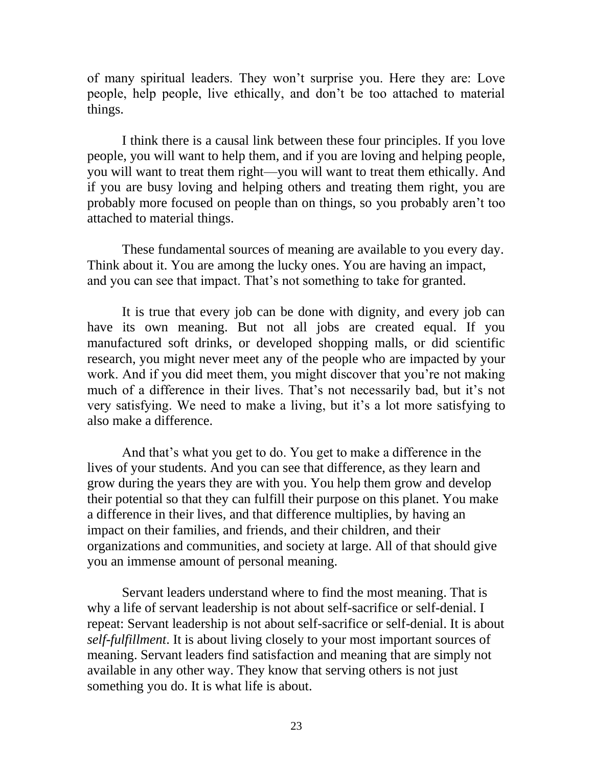of many spiritual leaders. They won't surprise you. Here they are: Love people, help people, live ethically, and don't be too attached to material things.

I think there is a causal link between these four principles. If you love people, you will want to help them, and if you are loving and helping people, you will want to treat them right—you will want to treat them ethically. And if you are busy loving and helping others and treating them right, you are probably more focused on people than on things, so you probably aren't too attached to material things.

These fundamental sources of meaning are available to you every day. Think about it. You are among the lucky ones. You are having an impact, and you can see that impact. That's not something to take for granted.

It is true that every job can be done with dignity, and every job can have its own meaning. But not all jobs are created equal. If you manufactured soft drinks, or developed shopping malls, or did scientific research, you might never meet any of the people who are impacted by your work. And if you did meet them, you might discover that you're not making much of a difference in their lives. That's not necessarily bad, but it's not very satisfying. We need to make a living, but it's a lot more satisfying to also make a difference.

And that's what you get to do. You get to make a difference in the lives of your students. And you can see that difference, as they learn and grow during the years they are with you. You help them grow and develop their potential so that they can fulfill their purpose on this planet. You make a difference in their lives, and that difference multiplies, by having an impact on their families, and friends, and their children, and their organizations and communities, and society at large. All of that should give you an immense amount of personal meaning.

Servant leaders understand where to find the most meaning. That is why a life of servant leadership is not about self-sacrifice or self-denial. I repeat: Servant leadership is not about self-sacrifice or self-denial. It is about *self-fulfillment*. It is about living closely to your most important sources of meaning. Servant leaders find satisfaction and meaning that are simply not available in any other way. They know that serving others is not just something you do. It is what life is about.